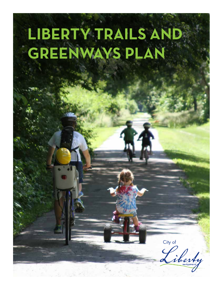# **LIBERTY TRAILS AND GREENWAYS PLAN**

City of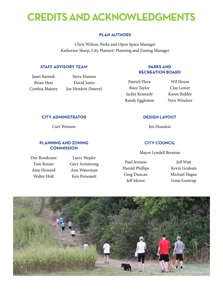## **CREDITS AND ACKNOWLEDGMENTS**

#### **Plan Authors**

Chris Wilson, Parks and Open Space Manager Katherine Sharp, City Planner/ Planning and Zoning Manager

#### **Staff Advisory Team**

Janet Bartnik Brian Hess Cynthia Matney

Steve Hansen David Jones Joe Hendrix (Intern)

#### **Parks and Recreation Board**

Patrick Flora Buzz Taylor Jackie Kennedy Randy Eggleston

Wil House Clay Lozier Karen Ridder Vern Windsor

#### **City Administrator**

Curt Wenson

#### **Planning and Zoning Commission**

Dee Rosekrans Tom Renier Amy Howard Walter Holt

Larry Wepler Gary Armstrong Ann Waterman Ken Personett

#### **Design Layout**

Jen Houston

#### **city council**

Mayor Lyndell Brenton

Paul Jenness Harold Phillips Greg Duncan Jeff Moore

Jeff Watt Kevin Graham Michael Hagan Gene Gentrup

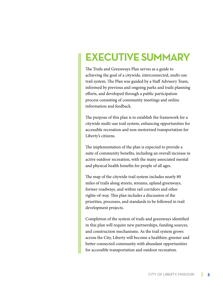### **Executive Summary**

The Trails and Greenways Plan serves as a guide to achieving the goal of a citywide, interconnected, multi-use trail system. The Plan was guided by a Staff Advisory Team, informed by previous and ongoing parks and trails planning efforts, and developed through a public participation process consisting of community meetings and online information and feedback.

The purpose of this plan is to establish the framework for a citywide multi-use trail system, enhancing opportunities for accessible recreation and non-motorized transportation for Liberty's citizens.

The implementation of the plan is expected to provide a suite of community benefits, including an overall increase in active outdoor recreation, with the many associated mental and physical health benefits for people of all ages.

The map of the citywide trail system includes nearly 80 miles of trails along streets, streams, upland greenways, former roadways, and within rail corridors and other rights-of-way. This plan includes a discussion of the priorities, processes, and standards to be followed in trail development projects.

Completion of the system of trails and greenways identified in this plan will require new partnerships, funding sources, and construction mechanisms. As the trail system grows across the City, Liberty will become a healthier, greener and better connected community with abundant opportunities for accessible transportation and outdoor recreation.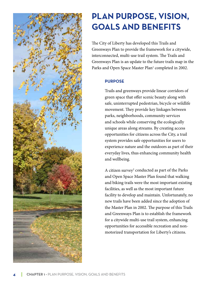

### **Plan Purpose, Vision, Goals and Benefits**

The City of Liberty has developed this Trails and Greenways Plan to provide the framework for a citywide, interconnected, multi-use trail system. The Trails and Greenways Plan is an update to the future trails map in the Parks and Open Space Master Plan<sup>1</sup> completed in 2002.

#### **Purpose**

Trails and greenways provide linear corridors of green space that offer scenic beauty along with safe, uninterrupted pedestrian, bicycle or wildlife movement. They provide key linkages between parks, neighborhoods, community services and schools while conserving the ecologically unique areas along streams. By creating access opportunities for citizens across the City, a trail system provides safe opportunities for users to experience nature and the outdoors as part of their everyday lives, thus enhancing community health and wellbeing.

A citizen survey<sup>2</sup> conducted as part of the Parks and Open Space Master Plan found that walking and biking trails were the most important existing facilities, as well as the most important future facility to develop and maintain. Unfortunately, no new trails have been added since the adoption of the Master Plan in 2002. The purpose of this Trails and Greenways Plan is to establish the framework for a citywide multi-use trail system, enhancing opportunities for accessible recreation and nonmotorized transportation for Liberty's citizens.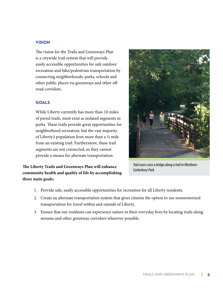#### **VISION**

The vision for the Trails and Greenways Plan is a citywide trail system that will provide easily accessible opportunities for safe outdoor recreation and bike/pedestrian transportation by connecting neighborhoods, parks, schools and other public places via greenways and other offroad corridors.

#### **GOALS**

While Liberty currently has more than 10 miles of paved trails, most exist as isolated segments in parks. These trails provide great opportunities for neighborhood recreation, but the vast majority of Liberty's population lives more than a ½ mile from an existing trail. Furthermore, these trail segments are not connected, so they cannot provide a means for alternate transportation.

### **The Liberty Trails and Greenways Plan will enhance community health and quality of life by accomplishing three main goals:**



*Trail users cross a bridge along a trail in Westboro-Canterbury Park.*

- 1. Provide safe, easily accessible opportunities for recreation for all Liberty residents.
- 2. Create an alternate transportation system that gives citizens the option to use nonmotorized transportation for travel within and outside of Liberty.
- 3. Ensure that our residents can experience nature in their everyday lives by locating trails along streams and other greenway corridors wherever possible.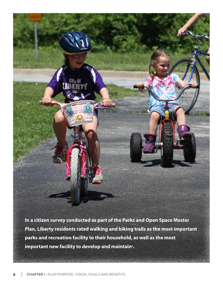**In a citizen survey conducted as part of the Parks and Open Space Master Plan, Liberty residents rated walking and biking trails as the most important parks and recreation facility to their household, as well as the most important new facility to develop and maintain2.**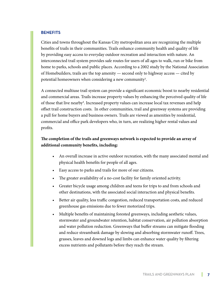#### **BENEFITS**

Cities and towns throughout the Kansas City metropolitan area are recognizing the multiple benefits of trails in their communities. Trails enhance community health and quality of life by providing easy access to everyday outdoor recreation and interaction with nature. An interconnected trail system provides safe routes for users of all ages to walk, run or bike from home to parks, schools and public places. According to a 2002 study by the National Association of Homebuilders, trails are the top amenity — second only to highway access — cited by potential homeowners when considering a new community<sup>3</sup>.

A connected multiuse trail system can provide a significant economic boost to nearby residential and commercial areas. Trails increase property values by enhancing the perceived quality of life of those that live nearby<sup>4</sup>. Increased property values can increase local tax revenues and help offset trail construction costs. In other communities, trail and greenway systems are providing a pull for home buyers and business owners. Trails are viewed as amenities by residential, commercial and office park developers who, in turn, are realizing higher rental values and profits.

#### **The completion of the trails and greenways network is expected to provide an array of additional community benefits, including:**

- An overall increase in active outdoor recreation, with the many associated mental and physical health benefits for people of all ages.
- Easy access to parks and trails for more of our citizens.
- The greater availability of a no-cost facility for family oriented activity.
- Greater bicycle usage among children and teens for trips to and from schools and other destinations, with the associated social interaction and physical benefits.
- Better air quality, less traffic congestion, reduced transportation costs, and reduced greenhouse gas emissions due to fewer motorized trips.
- • Multiple benefits of maintaining forested greenways, including aesthetic values, stormwater and groundwater retention, habitat conservation, air pollution absorption and water pollution reduction. Greenways that buffer streams can mitigate flooding and reduce streambank damage by slowing and absorbing stormwater runoff. Trees, grasses, leaves and downed logs and limbs can enhance water quality by filtering excess nutrients and pollutants before they reach the stream.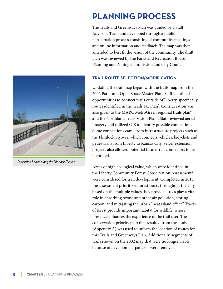### **Planning Process**

The Trails and Greenways Plan was guided by a Staff Advisory Team and developed through a public participation process consisting of community meetings and online information and feedback. The map was then amended to best fit the vision of the community. The draft plan was reviewed by the Parks and Recreation Board, Planning and Zoning Commission and City Council.

#### **Trail Route Selection/Modification**

Updating the trail map began with the trails map from the 2002 Parks and Open Space Master Plan. Staff identified opportunities to connect trails outside of Liberty, specifically routes identified in the Trails KC Plan<sup>5</sup>. Consideration was also given to the MARC MetroGreen regional trails plan<sup>6</sup> and the Northland Trails Vision Plan7 . Staff reviewed aerial imagery and utilized GIS to identify possible connections. Some connections came from infrastructure projects such as the Flintlock Flyover, which connects vehicles, bicyclists and pedestrians from Liberty to Kansas City. Sewer extension projects also allowed potential future trail connectors to be identified.

Areas of high ecological value, which were identified in the Liberty Community Forest Conservation Assessment<sup>8</sup> were considered for trail development. Completed in 2013, the assessment prioritized forest tracts throughout the City based on the multiple values they provide. Trees play a vital role in absorbing ozone and other air pollution, storing carbon, and mitigating the urban "heat island effect." Tracts of forest provide important habitat for wildlife, whose presence enhances the experience of the trail user. The conservation priority map that resulted from the study (Appendix A) was used to inform the location of routes for this Trails and Greenways Plan. Additionally, segments of trails shown on the 2002 map that were no longer viable because of development patterns were removed.



*Pedestrian bridge along the Flintlock Flyover.*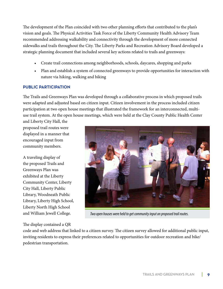The development of the Plan coincided with two other planning efforts that contributed to the plan's vision and goals. The Physical Activities Task Force of the Liberty Community Health Advisory Team recommended addressing walkability and connectivity through the development of more connected sidewalks and trails throughout the City. The Liberty Parks and Recreation Advisory Board developed a strategic planning document that included several key actions related to trails and greenways:

- Create trail connections among neighborhoods, schools, daycares, shopping and parks
- Plan and establish a system of connected greenways to provide opportunities for interaction with nature via hiking, walking and biking

#### **Public Participation**

The Trails and Greenways Plan was developed through a collaborative process in which proposed trails were adapted and adjusted based on citizen input. Citizen involvement in the process included citizen participation at two open house meetings that illustrated the framework for an interconnected, multiuse trail system. At the open house meetings, which were held at the Clay County Public Health Center

and Liberty City Hall, the proposed trail routes were displayed in a manner that encouraged input from community members.

A traveling display of the proposed Trails and Greenways Plan was exhibited at the Liberty Community Center, Liberty City Hall, Liberty Public Library, Woodneath Public Library, Liberty High School, Liberty North High School and William Jewell College.

#### The display contained a QR



*Two open houses were held to get community input on proposed trail routes.* 

code and web address that linked to a citizen survey. The citizen survey allowed for additional public input, inviting residents to express their preferences related to opportunities for outdoor recreation and bike/ pedestrian transportation.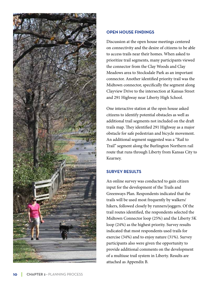

#### **OPEN HOUSE F**

Discussion at the open house meetings centered on connectivity and the desire of citizens to be able to access trails near their homes. When asked to prioritize trail segments, many participants viewed the connector from the Clay Woods and Clay Meadows area to Stocksdale Park as an important connector. Another identified priority trail was the Midtown connector, specifically the segment along Clayview Drive to the intersection at Kansas Street and 291 Highway near Liberty High School.

One interactive station at the open house asked citizens to identify potential obstacles as well as additional trail segments not included on the draft trails map. They identified 291 Highway as a major obstacle for safe pedestrian and bicycle movement. An additional segment suggested was a "Rail to Trail" segment along the Burlington Northern rail route that runs through Liberty from Kansas City to Kearney.

#### **SURVEY RESU r**

An online survey was conducted to gain citizen input for the development of the Trails and Greenways Plan. Respondents indicated that the trails will be used most frequently by walkers/ hikers, followed closely by runners/joggers. Of the trail routes identified, the respondents selected the Midtown Connector loop (25%) and the Liberty 5K loop (24%) as the highest priority. Survey results indicated that most respondents used trails for exercise (34%) and to enjoy nature (31%). Survey participants also were given the opportunity to provide additional comments on the development of a multiuse trail system in Liberty. Results are attached as Appendix B.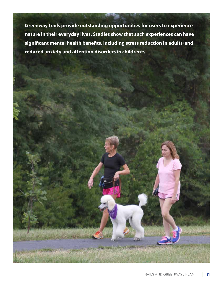**Greenway trails provide outstanding opportunities for users to experience nature in their everyday lives. Studies show that such experiences can have**  significant mental health benefits, including stress reduction in adults<sup>9</sup> and **reduced anxiety and attention disorders in children10.**

Commonstructure de service de la construction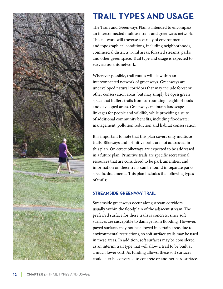

### **Trail Types and Usage**

The Trails and Greenways Plan is intended to encompass an interconnected multiuse trails and greenways network. This network will traverse a variety of environmental and topographical conditions, including neighborhoods, commercial districts, rural areas, forested streams, parks and other green space. Trail type and usage is expected to vary across this network.

Wherever possible, trail routes will lie within an interconnected network of greenways. Greenways are undeveloped natural corridors that may include forest or other conservation areas, but may simply be open green space that buffers trails from surrounding neighborhoods and developed areas. Greenways maintain landscape linkages for people and wildlife, while providing a suite of additional community benefits, including floodwater management, pollution reduction and habitat conservation.

It is important to note that this plan covers only multiuse trails. Bikeways and primitive trails are not addressed in this plan. On-street bikeways are expected to be addressed in a future plan. Primitive trails are specific recreational resources that are considered to be park amenities, and information on these trails can be found in separate parksspecific documents. This plan includes the following types of trails:

#### **Streamside Greenway Trail**

Streamside greenways occur along stream corridors, usually within the floodplain of the adjacent stream. The preferred surface for these trails is concrete, since soft surfaces are susceptible to damage from flooding. However, paved surfaces may not be allowed in certain areas due to environmental restrictions, so soft surface trails may be used in these areas. In addition, soft surfaces may be considered as an interim trail type that will allow a trail to be built at a much lower cost. As funding allows, these soft surfaces could later be converted to concrete or another hard surface.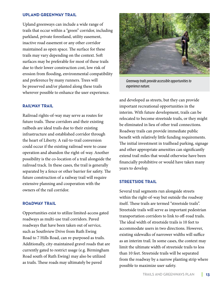#### **Upland Greenway Trail**

Upland greenways can include a wide range of trails that occur within a "green" corridor, including parkland, private forestland, utility easement, inactive road easement or any other corridor maintained as open space. The surface for these trails may vary depending on the context. Soft surfaces may be preferable for most of these trails due to their lower construction cost, low risk of erosion from flooding, environmental compatibility and preference by many runners. Trees will be preserved and/or planted along these trails wherever possible to enhance the user experience.

#### **Railway Trail**

Railroad rights-of-way may serve as routes for future trails. These corridors and their existing railbeds are ideal trails due to their existing infrastructure and established corridor through the heart of Liberty. A rail-to-trail conversion could occur if the existing railroad were to cease operation and abandon the right-of-way. Another possibility is the co-location of a trail alongside the railroad track. In these cases, the trail is generally separated by a fence or other barrier for safety. The future construction of a railway trail will require extensive planning and cooperation with the owners of the rail corridor.

#### **Roadway Trail**

Opportunities exist to utilize limited-access gated roadways as multi-use trail corridors. Paved roadways that have been taken out of service, such as Southview Drive from Ruth Ewing Road to 7 Hills Road, can re-purposed as trails. Additionally, city-maintained gravel roads that are currently gated to restrict usage (e.g. Birmingham Road south of Ruth Ewing) may also be utilized as trails. These roads may ultimately be paved



*Greenway trails provide accessible opportunities to experience nature.*

and developed as streets, but they can provide important recreational opportunities in the interim. With future development, trails can be relocated to become streetside trails, or they might be eliminated in lieu of other trail connections. Roadway trails can provide immediate public benefit with relatively little funding requirements. The initial investment in trailhead parking, signage and other appropriate amenities can significantly extend trail miles that would otherwise have been financially prohibitive or would have taken many years to develop.

#### **Streetside Trail**

Several trail segments run alongside streets within the right-of-way but outside the roadway itself. These trails are termed "streetside trails". Streetside trails will serve as important pedestrian transportation corridors to link to off-road trails. The ideal width of streetside trails is 10 feet to accommodate users in two directions. However, existing sidewalks of narrower widths will suffice as an interim trail. In some cases, the context may limit the ultimate width of streetside trails to less than 10 feet. Streetside trails will be separated from the roadway by a narrow planting strip where possible to maximize user safety.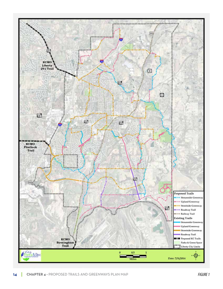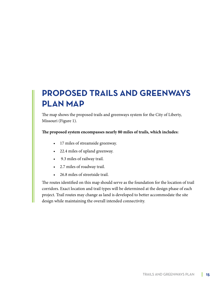### **Proposed Trails and Greenways Plan Map**

The map shows the proposed trails and greenways system for the City of Liberty, Missouri (Figure 1).

#### **The proposed system encompasses nearly 80 miles of trails, which includes:**

- • 17 miles of streamside greenway.
- • 22.4 miles of upland greenway.
- • 9.3 miles of railway trail.
- • 2.7 miles of roadway trail.
- • 26.8 miles of streetside trail.

The routes identified on this map should serve as the foundation for the location of trail corridors. Exact location and trail types will be determined at the design phase of each project. Trail routes may change as land is developed to better accommodate the site design while maintaining the overall intended connectivity.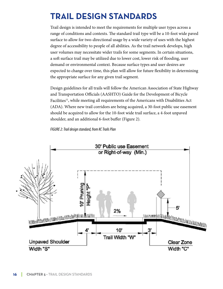### **Trail Design Standards**

Trail design is intended to meet the requirements for multiple user types across a range of conditions and contexts. The standard trail type will be a 10-foot wide paved surface to allow for two-directional usage by a wide variety of uses with the highest degree of accessibility to people of all abilities. As the trail network develops, high user volumes may necessitate wider trails for some segments. In certain situations, a soft surface trail may be utilized due to lower cost, lower risk of flooding, user demand or environmental context. Because surface types and user desires are expected to change over time, this plan will allow for future flexibility in determining the appropriate surface for any given trail segment.

Design guidelines for all trails will follow the American Association of State Highway and Transportation Officials (AASHTO) Guide for the Development of Bicycle Facilities<sup>11</sup>, while meeting all requirements of the Americans with Disabilities Act (ADA). Where new trail corridors are being acquired, a 30-foot public use easement should be acquired to allow for the 10-foot wide trail surface, a 4-foot unpaved shoulder, and an additional 6-foot buffer (Figure 2).

*FIGURE 2: Trail design standard, from KC Trails Plan*

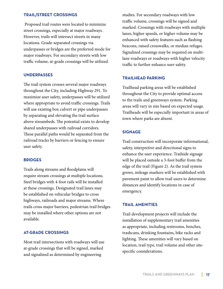#### **Trail/Street Crossings**

 Proposed trail routes were located to minimize street crossings, especially at major roadways. However, trails will intersect streets in many locations. Grade-separated crossings via underpasses or bridges are the preferred mode for major roadways. For secondary streets with low traffic volume, at-grade crossings will be utilized.

#### **Underpasses**

The trail system crosses several major roadways throughout the City, including Highway 291. To maximize user safety, underpasses will be utilized where appropriate to avoid traffic crossings. Trails will use existing box culvert or pipe underpasses by separating and elevating the trail surface above streambeds. The potential exists to develop shared underpasses with railroad corridors. These parallel paths would be separated from the railroad tracks by barriers or fencing to ensure user safety.

#### **Bridges**

Trails along streams and floodplains will require stream crossings at multiple locations. Steel bridges with 4-foot rails will be installed at these crossings. Designated trail lanes may be established on vehicular bridges to cross highways, railroads and major streams. Where trails cross major barriers, pedestrian trail bridges may be installed where other options are not available.

#### **At-grade Crossings**

Most trail intersections with roadways will use at-grade crossings that will be signed, marked and signalized as determined by engineering

studies. For secondary roadways with low traffic volume, crossings will be signed and marked. Crossings with roadways with multiple lanes, higher speeds, or higher volume may be enhanced with safety features such as flashing beacons, raised crosswalks, or median refuges. Signalized crossings may be required on multilane roadways or roadways with higher velocity traffic to further enhance user safety.

#### **Trailhead parking**

Trailhead parking areas will be established throughout the City to provide optimal access to the trails and greenways system. Parking areas will vary in size based on expected usage. Trailheads will be especially important in areas of town where parks are absent.

#### **Signage**

Trail construction will incorporate informational, safety, interpretive and directional signs to enhance the user experience. Trailside signage will be placed outside a 3-foot buffer from the edge of the trail (Figure 2). As the trail system grows, mileage markers will be established with pavement paint to allow trail users to determine distances and identify locations in case of emergency.

#### **Trail Amenities**

Trail development projects will include the installation of supplementary trail amenities as appropriate, including restrooms, benches, trashcans, drinking fountains, bike racks and lighting. These amenities will vary based on location, trail type, trail volume and other sitespecific considerations.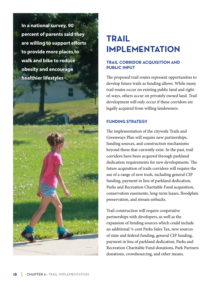**In a national survey, 90 percent of parents said they are willing to support efforts to provide more places to walk and bike to reduce obesity and encourage healthier lifestyles12.**

### **Trail Implementation**

#### **Trail Corridor Acquisition and Public Input**

The proposed trail routes represent opportunities to develop future trails as funding allows. While many trail routes occur on existing public land and rightof-ways, others occur on privately owned land. Trail development will only occur if these corridors are legally acquired from willing landowners.

#### **Funding Strategy**

The implementation of the citywide Trails and Greenways Plan will require new partnerships, funding sources, and construction mechanisms beyond those that currently exist. In the past, trail corridors have been acquired through parkland dedication requirements for new developments. The future acquisition of trails corridors will require the use of a range of new tools, including general CIP funding, payment in lieu of parkland dedication, Parks and Recreation Charitable Fund acquisition, conservation easements, long-term leases, floodplain preservation, and stream setbacks.

Trail construction will require cooperative partnerships with developers, as well as the expansion of funding sources which could include an additional ¼ cent Parks Sales Tax, new sources of state and federal funding, general CIP funding, payment in lieu of parkland dedication, Parks and Recreation Charitable Fund donations, Park Partners donations, crowdsourcing, and other means.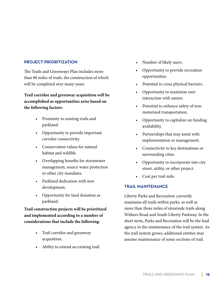#### **Project Prioritization**

The Trails and Greenways Plan includes more than 80 miles of trails, the construction of which will be completed over many years.

**Trail corridor and greenway acquisition will be accomplished as opportunities arise based on the following factors:**

- Proximity to existing trails and parkland.
- Opportunity to provide important corridor connectivity.
- Conservation values for natural habitat and wildlife.
- Overlapping benefits for stormwater management, source water protection or other city mandates.
- Parkland dedication with new development.
- Opportunity for land donation as parkland.

**Trail construction projects will be prioritized and implemented according to a number of considerations that include the following:**

- Trail corridor and greenway acquisition.
- Ability to extend an existing trail.
- Number of likely users.
- Opportunity to provide recreation opportunities.
- Potential to cross physical barriers.
- Opportunity to maximize user interaction with nature.
- Potential to enhance safety of nonmotorized transportation.
- Opportunity to capitalize on funding availability.
- Partnerships that may assist with implementation or management.
- • Connectivity to key destinations or surrounding cities.
- Opportunity to incorporate into city street, utility, or other project.
- Cost per trail mile.

#### **Trail Maintenance**

Liberty Parks and Recreation currently maintains all trails within parks, as well as more than three miles of streetside trails along Withers Road and South Liberty Parkway. In the short term, Parks and Recreation will be the lead agency in the maintenance of the trail system. As the trail system grows, additional entities may assume maintenance of some sections of trail.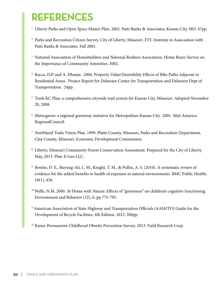## **References**

- <sup>1</sup> Liberty Parks and Open Space Master Plan. 2002. Patti Banks & Associates, Kansas City, MO. 47pp.
- <sup>2</sup> Parks and Recreation Citizen Survey, City of Liberty, Missouri. ETC Institute in Association with Patti Banks & Associates. Fall 2001.
- <sup>3</sup> National Association of Homebuilders and National Realtors Association, Home Buyer Survey on the Importance of Community Amenities. 2002.
- <sup>4</sup> Racca, D.P. and A. Dhanju. 2006. Property Value/Desirability Effects of Bike Paths Adjacent to Residential Areas. Project Report for Delaware Center for Transportation and Delaware Dept of Transportation. 24pp.
- <sup>5</sup> Trails KC Plan: a comprehensive citywide trail system for Kansas City, Missouri. Adopted November 20, 2008.
- <sup>6</sup> Metrogreen: a regional greenway initiative for Metropolitan Kansas City. 2001. Mid-America RegionalCouncil.
- <sup>7</sup> Northland Trails Vision Plan. 1999. Platte County, Missouri, Parks and Recreation Department, Clay County, Missouri, Economic Development Commission.
- <sup>8</sup> Liberty, Missouri Community Forest Conservation Assessment. Prepared for the City of Liberty. May, 2013. Plan-It Geo LLC.
- <sup>9</sup> Bowler, D. E., Buyung-Ali, L. M., Knight, T. M., & Pullin, A. S. (2010). A systematic review of evidence for the added benefits to health of exposure to natural environments. BMC Public Health, 10(1), 456.
- <sup>10</sup> Wells, N.M. 2000. At Home with Nature: Effects of "greenness" on children's cognitive functioning. Environment and Behavior (32), 6, pp 775-795.
- <sup>11</sup>American Association of State Highway and Transportation Officials (AASHTO) Guide for the Development of Bicycle Facilities, 4th Edition. 2012. 200pp.

<sup>12</sup> Kaiser Permanente Childhood Obesity Prevention Survey. 2013. Field Research Corp.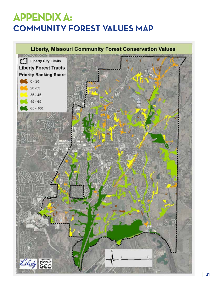### **Appendix A: Community Forest Values Map**

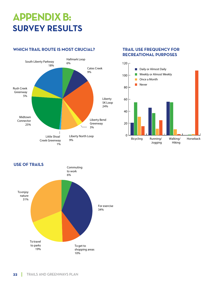### **Appendix b: survey results**

#### **Which trail route is most crucial?**



#### **Trail Use Frequency for Recreational Purposes**



**USE OF TRAILS** To get to shopping areas 10% For exercise 34% Commuting to work 6% To enjoy nature 31% To travel to parks 19%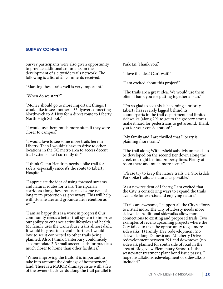#### **survey comments**

Survey participants were also given opportunity to provide additional comments on the development of a citywide trails network. The following is a list of all comments received.

"Marking these trails well is very important."

"When do we start?"

"Money should go to more important things. I would like to see another I-35 flyover connecting Northwyck to A Hwy for a direct route to Liberty North High School."

"I would use them much more often if they were closer to campus."

"I would love to see some more trails here in Liberty. Then I wouldn't have to drive to other locations in the KC metro area to access decent trail systems like I currently do."

"I think Glenn Hendren needs a bike trail for safety, especially since it's the route to Liberty Hospital."

"I appreciate the idea of using forested streams and natural routes for trails. The riparian corridors along these routes need some type of long term protection as greenways. This will help with stormwater and groundwater retention as well."

"I am so happy this is a work in progress! Our community needs a better trail system to improve our ability to enhance active lifestyles and health. My family uses the Canterbury trails almost daily. It would be great to extend it further. I would love to see it connected to other trails being planned. Also, I think Canterbury could nicely accommodate 2-3 small soccer fields for practices much closer to home than other facilities."

"When improving the trails, it is important to take into account the drainage of homeowners' land. There is a MAJOR drainage issue with a few of the owners back yards along the trail parallel to Park Ln. Thank you."

"I love the idea! Can't wait!"

"I am excited about this project!"

"The trails are a great idea. We would use them often. Thank you for putting together a plan."

"I'm so glad to see this is becoming a priority. Liberty has severely lagged behind its counterparts in the trail department and limited sidewalks (along 291 to get to the grocery store) make it hard for pedestrians to get around. Thank you for your consideration!"

"My family and I are thrilled that Liberty is planning more trails."

"The trail along Withersfield subdivision needs to be developed on the second tier down along the creek not right behind property lines. Plenty of room there and much more scenic."

"Please try to keep the nature trails, i.e. Stocksdale Park bike trails, as natural as possible."

"As a new resident of Liberty, I am excited that the City is considering ways to expand the trails available for exercise and enjoying nature."

"Trails are awesome, I support all the City's efforts to install more. The City of Liberty needs more sidewalks. Additional sidewalks allow more connections to existing and proposed trails. Two examples of recent/upcoming projects where the City failed to take the opportunity to get more sidewalks: 1) Family Tree redevelopment (no sidewalk along Daines); and 2) Liberty Drive redevelopment between 291 and downtown (no sidewalk planned for south side of road in the area of Ridgeview Elementary School). If the wastewater treatment plant bond issue passes, I hope installation/redevelopment of sidewalks is included."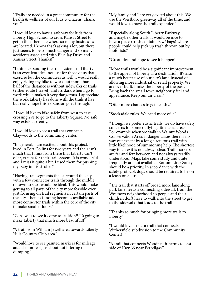"Trails are needed in a great community for the health & wellness of our kids & citizens. Thank you."

"I would love to have a safe way for kids from Liberty High School to cross Kansas Street to get to the other side where so many businesses are located. I know that's asking a lot, but there just seems to be so much danger and so many accidents associated with Blue Jay Drive and Kansas Street. Thanks!"

"I think expanding the trail systems of Liberty is an excellent idea, not just for those of us that exercise but the commuters as well. I would really enjoy riding my bike to work but more than half of the distance is without sidewalks or trails (either route I travel) and it's dark when I go to work which makes it very dangerous. I appreciate the work Liberty has done with the trails it has but really hope this expansion goes through."

 "I would like to bike safely from west to east, crossing 291 to go to the Liberty Square. No safe way exists currently."

"I would love to see a trail that connects Claywoods to the community center."

"In general, I am excited about this project. I lived in Fort Collins for two years and their isn't much that I miss from there that Liberty can't offer, except for their trail system. It is wonderful and I miss it quite a bit. I used them for pushing my baby in his stroller."

"Having trail segments that surround the city with a few connector trails through the middle of town to start would be ideal. This would make getting to all parts of the city more feasible over just focusing on trail segments in certain parts of the city. Then as funding becomes available add more connector trails within the core of the city to make smaller loops."

"Can't wait to see it come to fruition!! It's going to make Liberty that much more beautiful!!"

"A trail from William Jewell area towards Liberty Hills Country Club area."

"Would love to see painted markers for mileage, and also more signs about not littering or dumping."

"My family and I are very exited about this. We use the Westboro greenway all of the time, and would love to have the trail expanded."

"Especially along South Liberty Parkway, and maybe other trails, it would be nice to have a place (trash containers w/ bags) where people could help pick up trash thrown out by motorists."

"Great idea and hope to see it happen!"

"More trails would be a significant improvement to the appeal of Liberty as a destination. It's also a much better use of our city's land instead of allowing more industrial or retail property. We are over built. I miss the Liberty of the past. Bring back the small town neighborly feel and appearance. Keep our air clean."

"Offer more chances to get healthy."

"Stocksdale rules. We need more of it."

"Though we prefer rustic trails, we do have safety concerns for some outlying, little used areas. For example when we walk in Walnut Woods Conservation Area, if danger arises there is no way out except by a long circuitous trail with little likelihood of summoning help. The shortest way to an exit is not always clear. Trail markers are far and few between and not always readily understood. Maps take some study and quite frequently are not available. Bottom Line: Safety should be a priority. In accordance with the safety protocol, dogs should be required to be on a leash on all trails."

"The trail that starts off broad more lane along park lane needs a connecting sidewalk from the Westboro neighborhood so people and their children don't have to walk into the street to get to the sidewalk that leads to the trail."

"Thanks so much for bringing more trails to Liberty."

"I would love to see a trail that connects Withersfield subdivision to the Community Center!!!"

"A trail that connects Woodneath Farms to east side of Hwy 35 near Ferrellgas."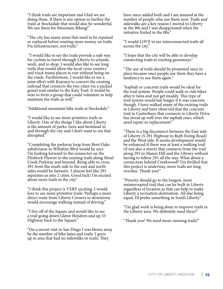"I think trails are important and Glad we are doing them. If there is any option to further the trails at Stocksdale that would also be wonderful. We use them for Mountain Biking!"

"The city has many areas that need to be repaired or replaced before wasting more money on trails. Fix infrastructure, not trails."

 "I would like to see the trails provide a safe way for cyclists to travel through Liberty to schools, work, and to shop. I would also like to see long trails that would allow the local cross country and track teams places to run without being on the roads. Furthermore, I would like to see a joint effort with Kearney to convert the existing railroad that connects the two cities via a packed gravel trail similar to the Katy Trail. It would be wise to form a group that could volunteer to help maintain the trails as well."

"Additional mountain bike trails at Stocksdale."

"I would like to see more primitive trails in Liberty. One of the things I like about Liberty is the amount of parks, trees and farmland in and through the city and I don't want to see that disrupted."

"Completing the parkway loop from Bent Oaks subdivision to Wiltshire Blvd would be nice. I'm looking forward to the connector on the Flintlock Flyover to the existing trails along Shoal Creek Parkway and beyond. Being able to cross 291 from the south side to the east and north sides would be fantastic. I almost feel like 291 separates us into 2 cities. Good luck! I'm excited about more trails in the city."

"I think this project is VERY exciting. I would love to see more primitive trails. Perhaps a more direct route from Liberty Corners to downtown would encourage walking instead of driving."

"I live off of the Square and would like to see a trail going down Glenn Hendren and up 33 Highway back to the Square."

"On a recent visit to San Diego I was blown away by the number of bike lanes and trails. I grew up in area that had no sidewalks or trails. They

have since added both and I am amazed at the number of people who use them now. Trails and sidewalks are a key reason I moved to Liberty in the 90s and I was disappointed when the initiative fizzled in the 00s."

"I would LOVE to see interconnected trails all across the city."

"I hope that the city will be able to develop connecting trails to existing greenways."

"The use of trails should be promoted once in place because once people use them they have a tendency to use them again."

"Asphalt or concrete trails would be ideal for the trail system. People could walk or ride bikes after it rains and not get muddy. This type of trail system would last longer if it was concrete though. I have walked many of the existing trails in Liberty and have observed that the concrete trail in Canterbury that connects to Liberty Drive has stood up well over the asphalt ones, which need repair or replacement."

"There is a big disconnect between the East side of Liberty (S 291 Highway to Ruth Ewing Road) and the West side. It seems development would be enhanced if there was at least a walking trail (if not also a street) that connects from the trail along 291 to Manor Hill and the Library without having to follow 291 all the way. What about a connection behind Creekwood? I'm thrilled that this project is underway, more trails are long overdue. Thank you!"

"Priority should go to the longest, most uninterrupted trail that can be built in Liberty regardless of location as that can help to make Liberty a recreation destination. All else being equal, I'd prefer something in South Liberty."

"I'm glad work is being done to improve trails in the Liberty area. We definitely need these!"

"Thank you! We need more running trails!"